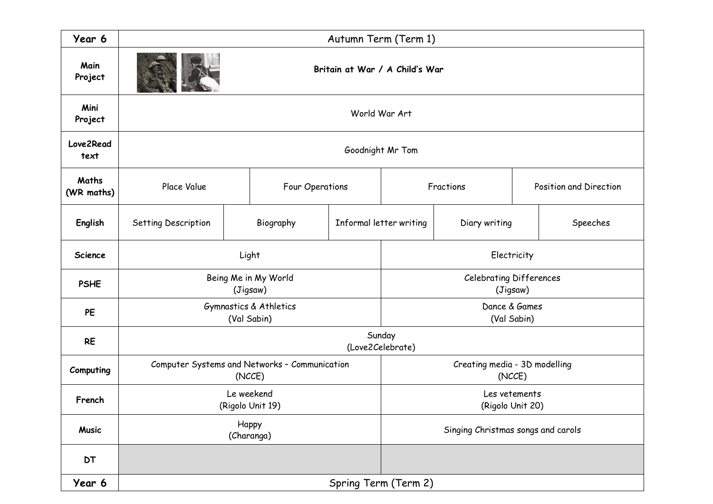| Year 6              | Autumn Term (Term 1)                          |             |                                         |                         |                              |  |                        |          |  |  |
|---------------------|-----------------------------------------------|-------------|-----------------------------------------|-------------------------|------------------------------|--|------------------------|----------|--|--|
| Main<br>Project     | Britain at War / A Child's War                |             |                                         |                         |                              |  |                        |          |  |  |
| Mini<br>Project     | World War Art                                 |             |                                         |                         |                              |  |                        |          |  |  |
| Love2Read<br>text   | Goodnight Mr Tom                              |             |                                         |                         |                              |  |                        |          |  |  |
| Maths<br>(WR maths) | Place Value                                   |             | Four Operations                         |                         | Fractions                    |  | Position and Direction |          |  |  |
| English             | Setting Description                           |             | Biography                               | Informal letter writing | Diary writing                |  |                        | Speeches |  |  |
| <b>Science</b>      |                                               | Light       |                                         |                         | Electricity                  |  |                        |          |  |  |
| <b>PSHE</b>         | Being Me in My World                          |             | Celebrating Differences<br>(Jigsaw)     |                         |                              |  |                        |          |  |  |
| PE                  |                                               | (Val Sabin) | Gymnastics & Athletics                  |                         | Dance & Games<br>(Val Sabin) |  |                        |          |  |  |
| <b>RE</b>           | Sunday<br>(Love2Celebrate)                    |             |                                         |                         |                              |  |                        |          |  |  |
| Computing           | Computer Systems and Networks - Communication |             | Creating media - 3D modelling<br>(NCCE) |                         |                              |  |                        |          |  |  |
| French              | Le weekend<br>(Rigolo Unit 19)                |             | Les vetements<br>(Rigolo Unit 20)       |                         |                              |  |                        |          |  |  |
| <b>Music</b>        |                                               |             | Singing Christmas songs and carols      |                         |                              |  |                        |          |  |  |
| <b>DT</b>           |                                               |             |                                         |                         |                              |  |                        |          |  |  |
| Year 6              | Spring Term (Term 2)                          |             |                                         |                         |                              |  |                        |          |  |  |